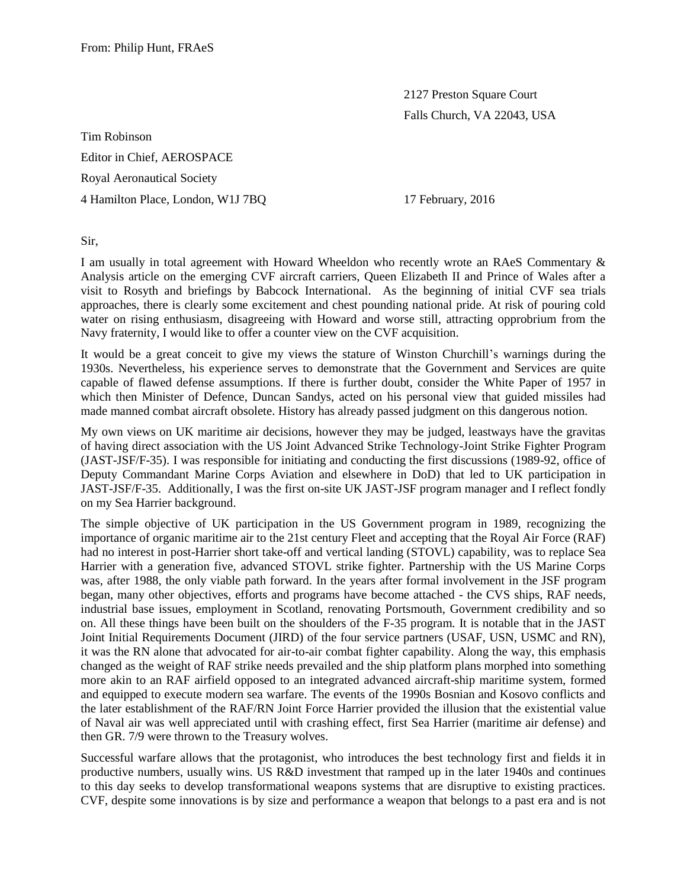2127 Preston Square Court Falls Church, VA 22043, USA

Tim Robinson Editor in Chief, AEROSPACE Royal Aeronautical Society 4 Hamilton Place, London, W1J 7BQ 17 February, 2016

Sir,

I am usually in total agreement with Howard Wheeldon who recently wrote an RAeS Commentary & Analysis article on the emerging CVF aircraft carriers, Queen Elizabeth II and Prince of Wales after a visit to Rosyth and briefings by Babcock International. As the beginning of initial CVF sea trials approaches, there is clearly some excitement and chest pounding national pride. At risk of pouring cold water on rising enthusiasm, disagreeing with Howard and worse still, attracting opprobrium from the Navy fraternity, I would like to offer a counter view on the CVF acquisition.

It would be a great conceit to give my views the stature of Winston Churchill's warnings during the 1930s. Nevertheless, his experience serves to demonstrate that the Government and Services are quite capable of flawed defense assumptions. If there is further doubt, consider the White Paper of 1957 in which then Minister of Defence, Duncan Sandys, acted on his personal view that guided missiles had made manned combat aircraft obsolete. History has already passed judgment on this dangerous notion.

My own views on UK maritime air decisions, however they may be judged, leastways have the gravitas of having direct association with the US Joint Advanced Strike Technology-Joint Strike Fighter Program (JAST-JSF/F-35). I was responsible for initiating and conducting the first discussions (1989-92, office of Deputy Commandant Marine Corps Aviation and elsewhere in DoD) that led to UK participation in JAST-JSF/F-35. Additionally, I was the first on-site UK JAST-JSF program manager and I reflect fondly on my Sea Harrier background.

The simple objective of UK participation in the US Government program in 1989, recognizing the importance of organic maritime air to the 21st century Fleet and accepting that the Royal Air Force (RAF) had no interest in post-Harrier short take-off and vertical landing (STOVL) capability, was to replace Sea Harrier with a generation five, advanced STOVL strike fighter. Partnership with the US Marine Corps was, after 1988, the only viable path forward. In the years after formal involvement in the JSF program began, many other objectives, efforts and programs have become attached - the CVS ships, RAF needs, industrial base issues, employment in Scotland, renovating Portsmouth, Government credibility and so on. All these things have been built on the shoulders of the F-35 program. It is notable that in the JAST Joint Initial Requirements Document (JIRD) of the four service partners (USAF, USN, USMC and RN), it was the RN alone that advocated for air-to-air combat fighter capability. Along the way, this emphasis changed as the weight of RAF strike needs prevailed and the ship platform plans morphed into something more akin to an RAF airfield opposed to an integrated advanced aircraft-ship maritime system, formed and equipped to execute modern sea warfare. The events of the 1990s Bosnian and Kosovo conflicts and the later establishment of the RAF/RN Joint Force Harrier provided the illusion that the existential value of Naval air was well appreciated until with crashing effect, first Sea Harrier (maritime air defense) and then GR. 7/9 were thrown to the Treasury wolves.

Successful warfare allows that the protagonist, who introduces the best technology first and fields it in productive numbers, usually wins. US R&D investment that ramped up in the later 1940s and continues to this day seeks to develop transformational weapons systems that are disruptive to existing practices. CVF, despite some innovations is by size and performance a weapon that belongs to a past era and is not